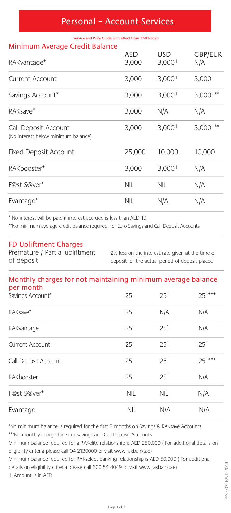#### Personal – Account Services

Service and Price Guide with effect from 17-01-2020

#### Minimum Average Credit Balance

| RAKvantage*                                                 | AED<br>3,000 | USD<br>3,0001 | <b>GBP/EUR</b><br>N/A |
|-------------------------------------------------------------|--------------|---------------|-----------------------|
| Current Account                                             | 3,000        | 3,0001        | 3,0001                |
| Savings Account*                                            | 3,000        | 3,0001        | $3,0001**$            |
| RAKsave*                                                    | 3,000        | N/A           | N/A                   |
| Call Deposit Account<br>(No interest below minimum balance) | 3,000        | 3,0001        | $3,0001**$            |
| <b>Fixed Deposit Account</b>                                | 25,000       | 10,000        | 10,000                |
| RAKbooster*                                                 | 3,000        | 3,0001        | N/A                   |
| F@st S@ver*                                                 | NIL          | <b>NIL</b>    | N/A                   |
| Evantage*                                                   | NIL          | N/A           | N/A                   |

\* No interest will be paid if interest accrued is less than AED 10.

\*\*No minimum average credit balance required for Euro Savings and Call Deposit Accounts

#### FD Upliftment Charges

Premature / Partial upliftment 2% less on the interest rate given at the time of of deposit deposit for the actual period of deposit placed

#### Monthly charges for not maintaining minimum average balance per month

| Savings Account*     | 25         | 251             | $25^{1***}$ |
|----------------------|------------|-----------------|-------------|
| RAKsave*             | 25         | N/A             | N/A         |
| RAKvantage           | 25         | 25 <sup>1</sup> | N/A         |
| Current Account      | 25         | 251             | 251         |
| Call Deposit Account | 25         | 25 <sup>1</sup> | $25^{1***}$ |
| RAKbooster           | 25         | 25 <sup>1</sup> | N/A         |
| F@st S@ver*          | <b>NIL</b> | <b>NIL</b>      | N/A         |
| Evantage             | <b>NIL</b> | N/A             | N/A         |
|                      |            |                 |             |

\*No minimum balance is required for the first 3 months on Savings & RAKsave Accounts

\*\*\*No monthly charge for Euro Savings and Call Deposit Accounts

Minimum balance required for a RAKelite relationship is AED 250,000 ( For additional details on eligibility criteria please call 04 2130000 or visit www.rakbank.ae)

Minimum balance required for RAKselect banking relationship is AED 50,000 ( For additional details on eligibility criteria please call 600 54 4049 or visit www.rakbank.ae)

1. Amount is in AED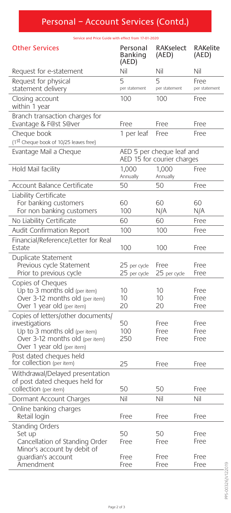# Personal – Account Services (Contd.)

Service and Price Guide with effect from 17-01-2020

| <b>Other Services</b>                                                                                                                                  | Personal<br>Banking<br>(AED)                            | <b>RAKselect</b><br>(AED) | <b>RAKelite</b><br>(AED) |
|--------------------------------------------------------------------------------------------------------------------------------------------------------|---------------------------------------------------------|---------------------------|--------------------------|
| Request for e-statement                                                                                                                                | Nil                                                     | Nil                       | Nil                      |
| Request for physical<br>statement delivery                                                                                                             | 5<br>per statement                                      | 5<br>per statement        | Free<br>per statement    |
| Closing account<br>within 1 year                                                                                                                       | 100                                                     | 100                       | Free                     |
| Branch transaction charges for<br>Evantage & F@st S@ver                                                                                                | Free                                                    | Free                      | Free                     |
| Cheque book<br>(1st Cheque book of 10/25 leaves free)                                                                                                  | 1 per leaf                                              | Free                      | Free                     |
| Evantage Mail a Cheque                                                                                                                                 | AED 5 per cheque leaf and<br>AED 15 for courier charges |                           |                          |
| Hold Mail facility                                                                                                                                     | 1.000<br>Annually                                       | 1.000<br>Annually         | Free                     |
| Account Balance Certificate                                                                                                                            | 50                                                      | 50                        | Free                     |
| Liability Certificate<br>For banking customers<br>For non banking customers                                                                            | 60<br>100                                               | 60<br>N/A                 | 60<br>N/A                |
| No Liability Certificate                                                                                                                               | 60                                                      | 60                        | Free                     |
| Audit Confirmation Report                                                                                                                              | 100                                                     | 100                       | Free                     |
| Financial/Reference/Letter for Real<br>Estate                                                                                                          | 100                                                     | 100                       | Free                     |
| Duplicate Statement<br>Previous cycle Statement<br>Prior to previous cycle                                                                             | 25 per cycle<br>25 per cycle                            | Free<br>25 per cycle      | Free<br>Free             |
| Copies of Cheques<br>Up to 3 months old (per item)<br>Over 3-12 months old (per item)<br>Over 1 year old (per item)                                    | 10<br>10<br>20                                          | 10<br>10<br>20            | Free<br>Free<br>Free     |
| Copies of letters/other documents/<br>investigations<br>Up to 3 months old (per item)<br>Over 3-12 months old (per item)<br>Over 1 year old (per item) | 50<br>$100 -$<br>250                                    | Free<br>Free<br>Free      | Free<br>Free<br>Free     |
| Post dated cheques held<br>for collection (per item)                                                                                                   | 25                                                      | Free                      | Free                     |
| Withdrawal/Delayed presentation<br>of post dated cheques held for<br>collection (per item)                                                             | 50                                                      | 50                        | Free                     |
| Dormant Account Charges                                                                                                                                | Nil                                                     | Nil                       | Nil                      |
| Online banking charges<br>Retail login                                                                                                                 | Free                                                    | Free                      | Free                     |
| Standing Orders<br>Set up<br>Cancellation of Standing Order<br>Minor's account by debit of                                                             | 50<br>Free                                              | 50<br>Free                | Free<br>Free             |
| quardian's account<br>Amendment                                                                                                                        | Free<br>Free                                            | Free<br>Free              | Free<br>Free             |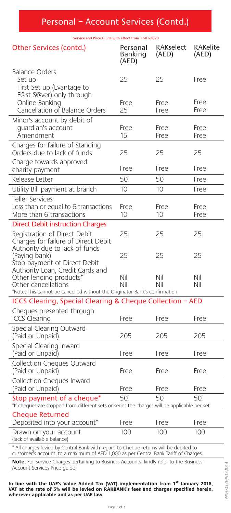Service and Price Guide with effect from 17-01-2020

| Other Services (contd.)                                                                                                                                                       | Personal<br>Banking<br>(AED) | <b>RAKselect</b><br>(AED) | <b>RAKelite</b><br>(AED) |
|-------------------------------------------------------------------------------------------------------------------------------------------------------------------------------|------------------------------|---------------------------|--------------------------|
| <b>Balance Orders</b><br>Set up<br>First Set up (Evantage to<br>F@st S@ver) only through                                                                                      | 25                           | 25                        | Free                     |
| Online Banking<br>Cancellation of Balance Orders                                                                                                                              | Free<br>25                   | Free<br>Free              | Free<br>Free             |
| Minor's account by debit of<br>quardian's account<br>Amendment                                                                                                                | Free<br>15                   | Free<br>Free              | Free<br>Free             |
| Charges for failure of Standing<br>Orders due to lack of funds<br>Charge towards approved                                                                                     | 25                           | 25                        | 25                       |
| charity payment                                                                                                                                                               | Free                         | Free                      | Free                     |
| Release Letter                                                                                                                                                                | 50                           | 50                        | Free                     |
| Utility Bill payment at branch                                                                                                                                                | 10                           | 10                        | Free                     |
| <b>Teller Services</b><br>Less than or equal to 6 transactions<br>More than 6 transactions                                                                                    | Free<br>10                   | Free<br>10                | Free<br>Free             |
| <b>Direct Debit instruction Charges</b>                                                                                                                                       |                              |                           |                          |
| Registration of Direct Debit<br>Charges for failure of Direct Debit<br>Authority due to lack of funds                                                                         | 25                           | 25                        | 25                       |
| (Paying bank)<br>Stop payment of Direct Debit<br>Authority Loan, Credit Cards and<br>Other lending products*                                                                  | 25<br>Nil                    | 25<br>Nil                 | 25<br>Nil                |
| Other cancellations                                                                                                                                                           | Nil                          | Nil                       | Nil                      |
| *Note: This cannot be cancelled without the Originator Bank's confirmation<br>ICCS Clearing, Special Clearing & Cheque Collection - AED                                       |                              |                           |                          |
| Cheques presented through                                                                                                                                                     |                              |                           |                          |
| <b>ICCS Clearing</b>                                                                                                                                                          | Free                         | Free                      | Free                     |
| Special Clearing Outward<br>(Paid or Unpaid)                                                                                                                                  | 205                          | 205                       | 205                      |
| Special Clearing Inward<br>(Paid or Unpaid)                                                                                                                                   | Free                         | Free                      | Free                     |
| Collection Cheques Outward<br>(Paid or Unpaid)                                                                                                                                | Free                         | Free                      | Free                     |
| Collection Cheques Inward<br>(Paid or Unpaid)                                                                                                                                 | Free                         | Free                      | Free                     |
| 50<br>50<br>Stop payment of a cheque*<br>50<br>*If cheques are stopped from different sets or series the charges will be applicable per set                                   |                              |                           |                          |
| Cheque Returned<br>Deposited into your account*                                                                                                                               | Free                         | Free                      | Free                     |
| Drawn on your account<br>(lack of available balance)                                                                                                                          | 100                          | 100                       | 100                      |
| * All charges levied by Central Bank with regard to Cheque returns will be debited to<br>customer's account, to a maximum of AED 1,000 as per Central Bank Tariff of Charges. |                              |                           |                          |
| Note: For Service Charges pertaining to Business Accounts, kindly refer to the Business -<br>Account Services Price quide.                                                    |                              |                           |                          |

In line with the UAE's Value Added Tax (VAT) implementation from 1<sup>st</sup> January 2018,<br>VAT at the rate of 5% will be levied on RAKBANK's fees and charges specified herein,<br>wherever applicable and as per UAE law.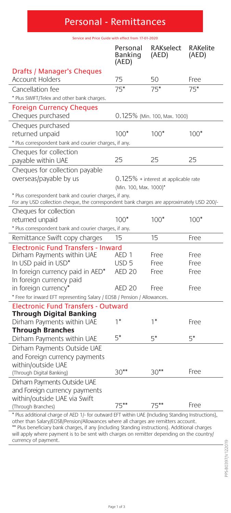# Personal - Remittances Service and Price Guide with effect from 17-01-2020

|                                                                                                                                                                                         | Personal<br>Banking<br>(AED) | <b>RAKselect</b><br>(AED)            | <b>RAKelite</b><br>(AED) |
|-----------------------------------------------------------------------------------------------------------------------------------------------------------------------------------------|------------------------------|--------------------------------------|--------------------------|
| Drafts / Manager's Cheques                                                                                                                                                              |                              |                                      |                          |
| <b>Account Holders</b>                                                                                                                                                                  | 75                           | 50                                   | Free                     |
| Cancellation fee                                                                                                                                                                        | $75*$                        | $75*$                                | $75*$                    |
| * Plus SWIFT/Telex and other bank charges.                                                                                                                                              |                              |                                      |                          |
| <b>Foreign Currency Cheques</b><br>Cheques purchased                                                                                                                                    |                              | 0.125% (Min. 100, Max. 1000)         |                          |
| Cheques purchased                                                                                                                                                                       |                              |                                      |                          |
| returned unpaid                                                                                                                                                                         | $100*$                       | $100*$                               | $100*$                   |
| * Plus correspondent bank and courier charges, if any.                                                                                                                                  |                              |                                      |                          |
| Cheques for collection<br>payable within UAE                                                                                                                                            | 25                           | 25                                   | 25                       |
| Cheques for collection payable<br>overseas/payable by us                                                                                                                                |                              | 0.125% + interest at applicable rate |                          |
| * Plus correspondent bank and courier charges, if any.                                                                                                                                  | (Min. 100, Max. 1000)*       |                                      |                          |
| For any USD collection cheque, the correspondent bank charges are approximately USD 200/-                                                                                               |                              |                                      |                          |
| Cheques for collection<br>returned unpaid                                                                                                                                               | $100*$                       | $100*$                               | $100*$                   |
| * Plus correspondent bank and courier charges, if any.                                                                                                                                  |                              |                                      |                          |
| Remittance Swift copy charges                                                                                                                                                           | 15                           | 15                                   | Free                     |
| <b>Electronic Fund Transfers - Inward</b>                                                                                                                                               |                              |                                      |                          |
| Dirham Payments within UAE                                                                                                                                                              | AED <sub>1</sub>             | Free                                 | Free                     |
| In USD paid in USD*                                                                                                                                                                     | USD <sub>5</sub>             | Free                                 | Free                     |
| In foreign currency paid in AED*                                                                                                                                                        | <b>AED 20</b>                | Free                                 | Free                     |
| In foreign currency paid                                                                                                                                                                |                              |                                      |                          |
| in foreign currency*                                                                                                                                                                    | <b>AED 20</b>                | Free                                 | Free                     |
| * Free for inward EFT representing Salary / EOSB / Pension / Allowances.                                                                                                                |                              |                                      |                          |
| <b>Electronic Fund Transfers - Outward</b>                                                                                                                                              |                              |                                      |                          |
| <b>Through Digital Banking</b><br>Dirham Payments within UAE                                                                                                                            | $1*$                         | $1*$                                 | Free                     |
| <b>Through Branches</b>                                                                                                                                                                 |                              |                                      |                          |
| Dirham Payments within UAE                                                                                                                                                              | $5*$                         | $5*$                                 | $5*$                     |
| Dirham Payments Outside UAE                                                                                                                                                             |                              |                                      |                          |
| and Foreign currency payments                                                                                                                                                           |                              |                                      |                          |
| within/outside UAE                                                                                                                                                                      |                              |                                      |                          |
| (Through Digital Banking)                                                                                                                                                               | $30**$                       | $30**$                               | Free                     |
| Dirham Payments Outside UAE                                                                                                                                                             |                              |                                      |                          |
| and Foreign currency payments                                                                                                                                                           |                              |                                      |                          |
| within/outside UAE via Swift                                                                                                                                                            |                              |                                      |                          |
| (Through Branches)                                                                                                                                                                      | $75***$                      | $75***$                              | Free                     |
| * Plus additional charge of AED 1/- for outward EFT within UAE (Including Standing Instructions),<br>other than Salary/EOSB/Pension/Allowances where all charges are remitters account. |                              |                                      |                          |

other than Salary/EOSB/Pension/Allowances where all charges are remitters account.<br>\*\* Plus beneficiary bank charges, if any (including Standing instructions). Additional charges<br>will apply where payment is to be sent with currency of payment.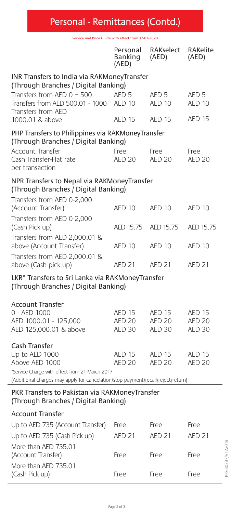## Personal - Remittances (Contd.)

Service and Price Guide with effect from 17-01-2020

|                                                                                           | Personal<br>Banking<br>(AED)                                                        | <b>RAKselect</b><br>(AED)         | <b>RAKelite</b><br>(AED)       |  |  |
|-------------------------------------------------------------------------------------------|-------------------------------------------------------------------------------------|-----------------------------------|--------------------------------|--|--|
|                                                                                           | INR Transfers to India via RAKMoneyTransfer<br>(Through Branches / Digital Banking) |                                   |                                |  |  |
| Transfers from AED 0 - 500<br>Transfers from AED 500.01 - 1000<br>Transfers from AED      | AED <sub>5</sub><br><b>AED 10</b>                                                   | AED <sub>5</sub><br><b>AED 10</b> | AED <sub>5</sub><br>AED 10     |  |  |
| 1000.01 & above                                                                           | <b>AED 15</b>                                                                       | <b>AED 15</b>                     | AED <sub>15</sub>              |  |  |
| PHP Transfers to Philippines via RAKMoneyTransfer<br>(Through Branches / Digital Banking) |                                                                                     |                                   |                                |  |  |
| <b>Account Transfer</b><br>Cash Transfer-Flat rate<br>per transaction                     | Free<br><b>AED 20</b>                                                               | Free<br><b>AED 20</b>             | Free<br><b>AED 20</b>          |  |  |
| NPR Transfers to Nepal via RAKMoneyTransfer<br>(Through Branches / Digital Banking)       |                                                                                     |                                   |                                |  |  |
| Transfers from AED 0-2,000<br>(Account Transfer)                                          | AED 10                                                                              | AED 10                            | AED 10                         |  |  |
| Transfers from AED 0-2,000<br>(Cash Pick up)                                              | AED 15.75                                                                           | AED 15.75                         | AED 15.75                      |  |  |
| Transfers from AED 2,000.01 &<br>above (Account Transfer)                                 | AED 10                                                                              | <b>AED 10</b>                     | AED 10                         |  |  |
| Transfers from AED 2,000.01 &<br>above (Cash pick up)                                     | <b>AED 21</b>                                                                       | <b>AED 21</b>                     | <b>AED 21</b>                  |  |  |
| LKR* Transfers to Sri Lanka via RAKMoneyTransfer<br>(Through Branches / Digital Banking)  |                                                                                     |                                   |                                |  |  |
| <b>Account Transfer</b>                                                                   |                                                                                     |                                   |                                |  |  |
| 0 - AED 1000<br>AED 1000.01 - 125,000                                                     | <b>AED 15</b><br><b>AED 20</b>                                                      | <b>AED 15</b><br><b>AED 20</b>    | <b>AED 15</b><br><b>AED 20</b> |  |  |
| AED 125,000.01 & above                                                                    | <b>AED 30</b>                                                                       | <b>AED 30</b>                     | <b>AED 30</b>                  |  |  |
| Cash Transfer                                                                             |                                                                                     |                                   |                                |  |  |
| Up to AED 1000<br>Above AED 1000                                                          | AED 15<br><b>AED 20</b>                                                             | <b>AED 15</b><br><b>AED 20</b>    | <b>AED 15</b><br><b>AED 20</b> |  |  |
| *Service Charge with effect from 21 March 2017                                            |                                                                                     |                                   |                                |  |  |
| (Additional charges may apply for cancelation/stop payment/recall/reject/return)          |                                                                                     |                                   |                                |  |  |
| PKR Transfers to Pakistan via RAKMoneyTransfer<br>(Through Branches / Digital Banking)    |                                                                                     |                                   |                                |  |  |
| <b>Account Transfer</b>                                                                   |                                                                                     |                                   |                                |  |  |
| Up to AED 735 (Account Transfer)                                                          | Free                                                                                | Free                              | Free                           |  |  |
| Up to AED 735 (Cash Pick up)                                                              | <b>AED 21</b>                                                                       | <b>AED 21</b>                     | <b>AED 21</b>                  |  |  |
| More than AED 735.01<br>(Account Transfer)                                                | Free                                                                                | Free                              | Free                           |  |  |
| More than AED 735.01<br>(Cash Pick up)                                                    | Free                                                                                | Free                              | Free                           |  |  |